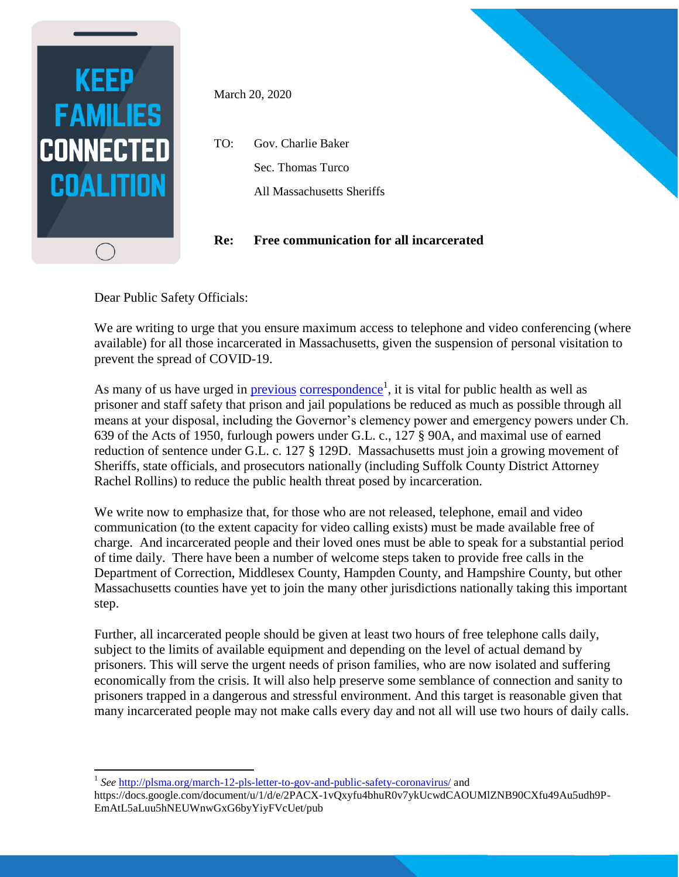

March 20, 2020

TO: Gov. Charlie Baker Sec. Thomas Turco All Massachusetts Sheriffs

## **Re: Free communication for all incarcerated**

Dear Public Safety Officials:

We are writing to urge that you ensure maximum access to telephone and video conferencing (where available) for all those incarcerated in Massachusetts, given the suspension of personal visitation to prevent the spread of COVID-19.

As many of us have urged in **previous** [correspondence](about:blank)<sup>1</sup>, it is vital for public health as well as prisoner and staff safety that prison and jail populations be reduced as much as possible through all means at your disposal, including the Governor's clemency power and emergency powers under Ch. 639 of the Acts of 1950, furlough powers under G.L. c., 127 § 90A, and maximal use of earned reduction of sentence under G.L. c. 127 § 129D. Massachusetts must join a growing movement of Sheriffs, state officials, and prosecutors nationally (including Suffolk County District Attorney Rachel Rollins) to reduce the public health threat posed by incarceration.

We write now to emphasize that, for those who are not released, telephone, email and video communication (to the extent capacity for video calling exists) must be made available free of charge. And incarcerated people and their loved ones must be able to speak for a substantial period of time daily. There have been a number of welcome steps taken to provide free calls in the Department of Correction, Middlesex County, Hampden County, and Hampshire County, but other Massachusetts counties have yet to join the many other jurisdictions nationally taking this important step.

Further, all incarcerated people should be given at least two hours of free telephone calls daily, subject to the limits of available equipment and depending on the level of actual demand by prisoners. This will serve the urgent needs of prison families, who are now isolated and suffering economically from the crisis. It will also help preserve some semblance of connection and sanity to prisoners trapped in a dangerous and stressful environment. And this target is reasonable given that many incarcerated people may not make calls every day and not all will use two hours of daily calls.

 $\overline{a}$ 1 *See* [http://plsma.org/march-12-pls-letter-to-gov-and-public-safety-coronavirus/](about:blank) and

https://docs.google.com/document/u/1/d/e/2PACX-1vQxyfu4bhuR0v7ykUcwdCAOUMlZNB90CXfu49Au5udh9P-EmAtL5aLuu5hNEUWnwGxG6byYiyFVcUet/pub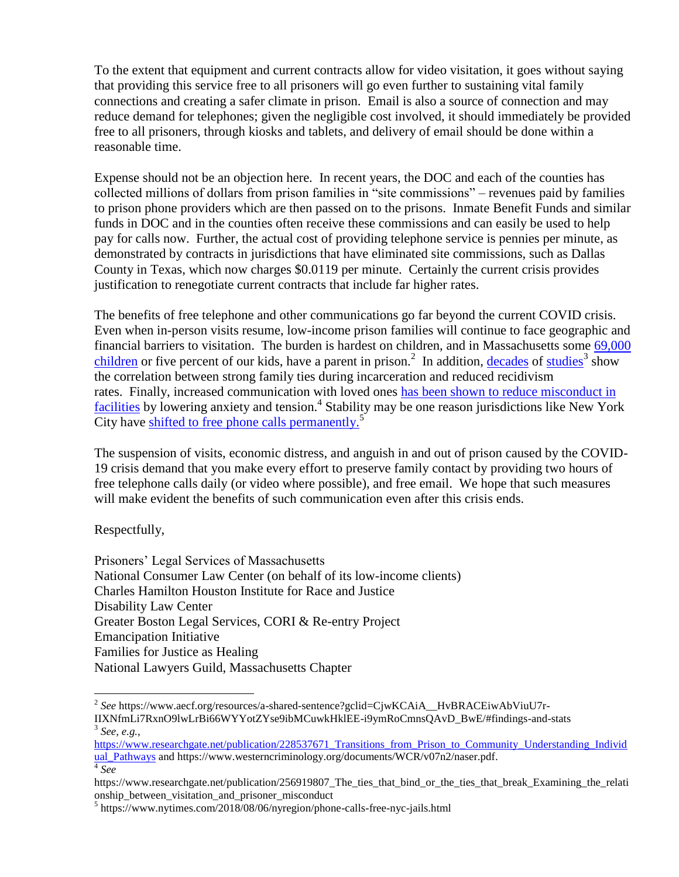To the extent that equipment and current contracts allow for video visitation, it goes without saying that providing this service free to all prisoners will go even further to sustaining vital family connections and creating a safer climate in prison. Email is also a source of connection and may reduce demand for telephones; given the negligible cost involved, it should immediately be provided free to all prisoners, through kiosks and tablets, and delivery of email should be done within a reasonable time.

Expense should not be an objection here. In recent years, the DOC and each of the counties has collected millions of dollars from prison families in "site commissions" – revenues paid by families to prison phone providers which are then passed on to the prisons. Inmate Benefit Funds and similar funds in DOC and in the counties often receive these commissions and can easily be used to help pay for calls now. Further, the actual cost of providing telephone service is pennies per minute, as demonstrated by contracts in jurisdictions that have eliminated site commissions, such as Dallas County in Texas, which now charges \$0.0119 per minute. Certainly the current crisis provides justification to renegotiate current contracts that include far higher rates.

The benefits of free telephone and other communications go far beyond the current COVID crisis. Even when in-person visits resume, low-income prison families will continue to face geographic and financial barriers to visitation. The burden is hardest on children, and in Massachusetts some [69,000](about:blank#findings-and-stats)  [children](about:blank#findings-and-stats) or five percent of our kids, have a parent in prison.<sup>2</sup> In addition, [decades](about:blank) of [studies](about:blank)<sup>3</sup> show the correlation between strong family ties during incarceration and reduced recidivism rates. Finally, increased communication with loved ones [has been shown to reduce misconduct in](about:blank)  [facilities](about:blank) by lowering anxiety and tension.<sup>4</sup> Stability may be one reason jurisdictions like New York City have [shifted to free phone calls permanently.](about:blank)<sup>5</sup>

The suspension of visits, economic distress, and anguish in and out of prison caused by the COVID-19 crisis demand that you make every effort to preserve family contact by providing two hours of free telephone calls daily (or video where possible), and free email. We hope that such measures will make evident the benefits of such communication even after this crisis ends.

Respectfully,

 $\overline{a}$ 

Prisoners' Legal Services of Massachusetts National Consumer Law Center (on behalf of its low-income clients) Charles Hamilton Houston Institute for Race and Justice Disability Law Center Greater Boston Legal Services, CORI & Re-entry Project Emancipation Initiative Families for Justice as Healing National Lawyers Guild, Massachusetts Chapter

<sup>2</sup> *See* https://www.aecf.org/resources/a-shared-sentence?gclid=CjwKCAiA\_\_HvBRACEiwAbViuU7r-IIXNfmLi7RxnO9lwLrBi66WYYotZYse9ibMCuwkHklEE-i9ymRoCmnsQAvD\_BwE/#findings-and-stats 3 *See, e.g.,* 

[https://www.researchgate.net/publication/228537671\\_Transitions\\_from\\_Prison\\_to\\_Community\\_Understanding\\_Individ](about:blank) [ual\\_Pathways](about:blank) and https://www.westerncriminology.org/documents/WCR/v07n2/naser.pdf. 4 *See* 

https://www.researchgate.net/publication/256919807\_The\_ties\_that\_bind\_or\_the\_ties\_that\_break\_Examining\_the\_relati onship between visitation and prisoner misconduct

<sup>&</sup>lt;sup>5</sup> https://www.nytimes.com/2018/08/06/nyregion/phone-calls-free-nyc-jails.html